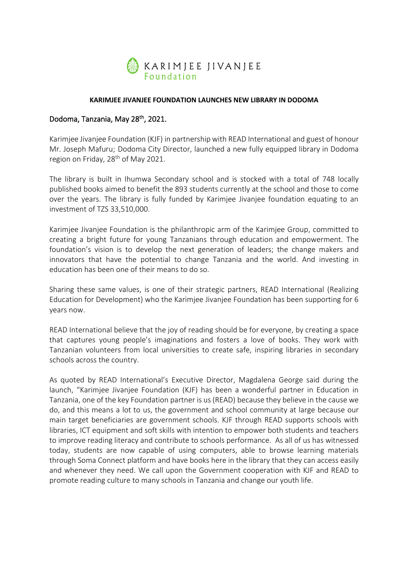

## **KARIMJEE JIVANJEE FOUNDATION LAUNCHES NEW LIBRARY IN DODOMA**

## Dodoma, Tanzania, May 28th, 2021.

Karimjee Jivanjee Foundation (KJF) in partnership with READ International and guest of honour Mr. Joseph Mafuru; Dodoma City Director, launched a new fully equipped library in Dodoma region on Friday, 28<sup>th</sup> of May 2021.

The library is built in Ihumwa Secondary school and is stocked with a total of 748 locally published books aimed to benefit the 893 students currently at the school and those to come over the years. The library is fully funded by Karimjee Jivanjee foundation equating to an investment of TZS 33,510,000.

Karimjee Jivanjee Foundation is the philanthropic arm of the Karimjee Group, committed to creating a bright future for young Tanzanians through education and empowerment. The foundation's vision is to develop the next generation of leaders; the change makers and innovators that have the potential to change Tanzania and the world. And investing in education has been one of their means to do so.

Sharing these same values, is one of their strategic partners, READ International (Realizing Education for Development) who the Karimjee Jivanjee Foundation has been supporting for 6 years now.

READ International believe that the joy of reading should be for everyone, by creating a space that captures young people's imaginations and fosters a love of books. They work with Tanzanian volunteers from local universities to create safe, inspiring libraries in secondary schools across the country.

As quoted by READ International's Executive Director, Magdalena George said during the launch, "Karimjee Jivanjee Foundation (KJF) has been a wonderful partner in Education in Tanzania, one of the key Foundation partner is us (READ) because they believe in the cause we do, and this means a lot to us, the government and school community at large because our main target beneficiaries are government schools. KJF through READ supports schools with libraries, ICT equipment and soft skills with intention to empower both students and teachers to improve reading literacy and contribute to schools performance. As all of us has witnessed today, students are now capable of using computers, able to browse learning materials through Soma Connect platform and have books here in the library that they can access easily and whenever they need. We call upon the Government cooperation with KJF and READ to promote reading culture to many schools in Tanzania and change our youth life.